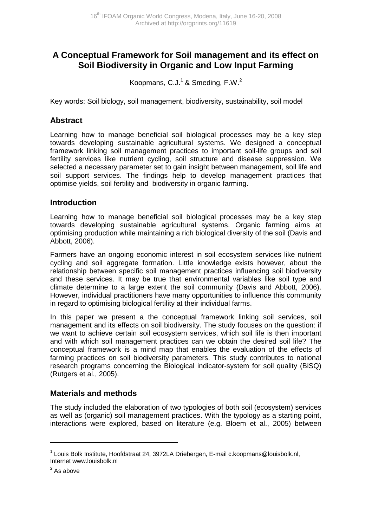# **A Conceptual Framework for Soil management and its effect on Soil Biodiversity in Organic and Low Input Farming**

Koopmans, C.J. $1^1$  & Smeding, F.W. $^2$ 

Key words: Soil biology, soil management, biodiversity, sustainability, soil model

## **Abstract**

Learning how to manage beneficial soil biological processes may be a key step towards developing sustainable agricultural systems. We designed a conceptual framework linking soil management practices to important soil-life groups and soil fertility services like nutrient cycling, soil structure and disease suppression. We selected a necessary parameter set to gain insight between management, soil life and soil support services. The findings help to develop management practices that optimise yields, soil fertility and biodiversity in organic farming.

### **Introduction**

Learning how to manage beneficial soil biological processes may be a key step towards developing sustainable agricultural systems. Organic farming aims at optimising production while maintaining a rich biological diversity of the soil (Davis and Abbott, 2006).

Farmers have an ongoing economic interest in soil ecosystem services like nutrient cycling and soil aggregate formation. Little knowledge exists however, about the relationship between specific soil management practices influencing soil biodiversity and these services. It may be true that environmental variables like soil type and climate determine to a large extent the soil community (Davis and Abbott, 2006). However, individual practitioners have many opportunities to influence this community in regard to optimising biological fertility at their individual farms.

In this paper we present a the conceptual framework linking soil services, soil management and its effects on soil biodiversity. The study focuses on the question: if we want to achieve certain soil ecosystem services, which soil life is then important and with which soil management practices can we obtain the desired soil life? The conceptual framework is a mind map that enables the evaluation of the effects of farming practices on soil biodiversity parameters. This study contributes to national research programs concerning the Biological indicator-system for soil quality (BiSQ) (Rutgers et al., 2005).

### **Materials and methods**

The study included the elaboration of two typologies of both soil (ecosystem) services as well as (organic) soil management practices. With the typology as a starting point, interactions were explored, based on literature (e.g. Bloem et al., 2005) between

 $\overline{a}$ 

<sup>&</sup>lt;sup>1</sup> Louis Bolk Institute, Hoofdstraat 24, 3972LA Driebergen, E-mail c.koopmans@louisbolk.nl, Internet www.louisbolk.nl

 $2^2$  As above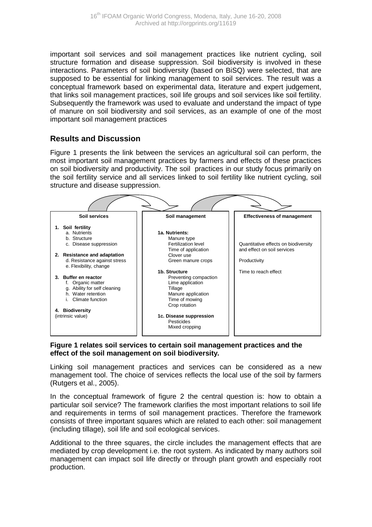important soil services and soil management practices like nutrient cycling, soil structure formation and disease suppression. Soil biodiversity is involved in these interactions. Parameters of soil biodiversity (based on BiSQ) were selected, that are supposed to be essential for linking management to soil services. The result was a conceptual framework based on experimental data, literature and expert judgement, that links soil management practices, soil life groups and soil services like soil fertility. Subsequently the framework was used to evaluate and understand the impact of type of manure on soil biodiversity and soil services, as an example of one of the most important soil management practices

## **Results and Discussion**

Figure 1 presents the link between the services an agricultural soil can perform, the most important soil management practices by farmers and effects of these practices on soil biodiversity and productivity. The soil practices in our study focus primarily on the soil fertility service and all services linked to soil fertility like nutrient cycling, soil structure and disease suppression.



#### **Figure 1 relates soil services to certain soil management practices and the effect of the soil management on soil biodiversity.**

Linking soil management practices and services can be considered as a new management tool. The choice of services reflects the local use of the soil by farmers (Rutgers et al., 2005).

In the conceptual framework of figure 2 the central question is: how to obtain a particular soil service? The framework clarifies the most important relations to soil life and requirements in terms of soil management practices. Therefore the framework consists of three important squares which are related to each other: soil management (including tillage), soil life and soil ecological services.

Additional to the three squares, the circle includes the management effects that are mediated by crop development i.e. the root system. As indicated by many authors soil management can impact soil life directly or through plant growth and especially root production.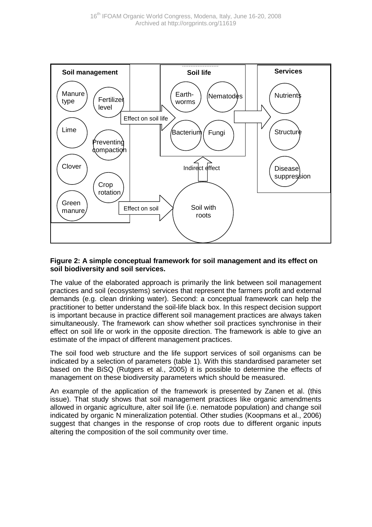

#### **Figure 2: A simple conceptual framework for soil management and its effect on soil biodiversity and soil services.**

The value of the elaborated approach is primarily the link between soil management practices and soil (ecosystems) services that represent the farmers profit and external demands (e.g. clean drinking water). Second: a conceptual framework can help the practitioner to better understand the soil-life black box. In this respect decision support is important because in practice different soil management practices are always taken simultaneously. The framework can show whether soil practices synchronise in their effect on soil life or work in the opposite direction. The framework is able to give an estimate of the impact of different management practices.

The soil food web structure and the life support services of soil organisms can be indicated by a selection of parameters (table 1). With this standardised parameter set based on the BiSQ (Rutgers et al., 2005) it is possible to determine the effects of management on these biodiversity parameters which should be measured.

An example of the application of the framework is presented by Zanen et al. (this issue). That study shows that soil management practices like organic amendments allowed in organic agriculture, alter soil life (i.e. nematode population) and change soil indicated by organic N mineralization potential. Other studies (Koopmans et al., 2006) suggest that changes in the response of crop roots due to different organic inputs altering the composition of the soil community over time.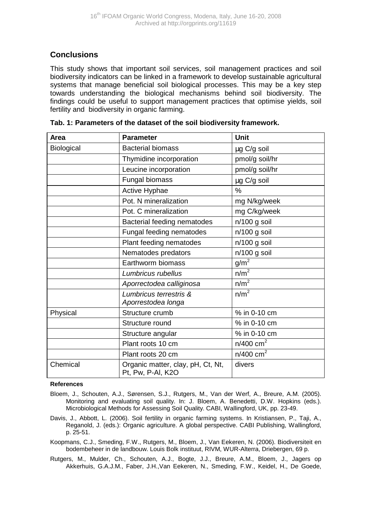## **Conclusions**

This study shows that important soil services, soil management practices and soil biodiversity indicators can be linked in a framework to develop sustainable agricultural systems that manage beneficial soil biological processes. This may be a key step towards understanding the biological mechanisms behind soil biodiversity. The findings could be useful to support management practices that optimise yields, soil fertility and biodiversity in organic farming.

| Area       | <b>Parameter</b>                                       | Unit                    |
|------------|--------------------------------------------------------|-------------------------|
| Biological | <b>Bacterial biomass</b>                               | μg C/g soil             |
|            | Thymidine incorporation                                | pmol/g soil/hr          |
|            | Leucine incorporation                                  | pmol/g soil/hr          |
|            | Fungal biomass                                         | µg C/g soil             |
|            | Active Hyphae                                          | $\frac{0}{0}$           |
|            | Pot. N mineralization                                  | mg N/kg/week            |
|            | Pot. C mineralization                                  | mg C/kg/week            |
|            | Bacterial feeding nematodes                            | n/100 g soil            |
|            | Fungal feeding nematodes                               | n/100 g soil            |
|            | Plant feeding nematodes                                | n/100 g soil            |
|            | Nematodes predators                                    | n/100 g soil            |
|            | Earthworm biomass                                      | g/m <sup>2</sup>        |
|            | Lumbricus rubellus                                     | n/m <sup>2</sup>        |
|            | Aporrectodea calliginosa                               | n/m <sup>2</sup>        |
|            | Lumbricus terrestris &<br>Aporrestodea longa           | n/m <sup>2</sup>        |
| Physical   | Structure crumb                                        | % in 0-10 cm            |
|            | Structure round                                        | % in 0-10 cm            |
|            | Structure angular                                      | % in 0-10 cm            |
|            | Plant roots 10 cm                                      | $n/400$ cm <sup>2</sup> |
|            | Plant roots 20 cm                                      | $n/400$ cm <sup>2</sup> |
| Chemical   | Organic matter, clay, pH, Ct, Nt,<br>Pt, Pw, P-AI, K2O | divers                  |

| Tab. 1: Parameters of the dataset of the soil biodiversity framework. |
|-----------------------------------------------------------------------|
|-----------------------------------------------------------------------|

#### **References**

- Bloem, J., Schouten, A.J., Sørensen, S.J., Rutgers, M., Van der Werf, A., Breure, A.M. (2005). Monitoring and evaluating soil quality. In: J. Bloem, A. Benedetti, D.W. Hopkins (eds.). Microbiological Methods for Assessing Soil Quality. CABI, Wallingford, UK, pp. 23-49.
- Davis, J., Abbott, L. (2006). Soil fertility in organic farming systems. In Kristiansen, P., Taji, A., Reganold, J. (eds.): Organic agriculture. A global perspective. CABI Publishing, Wallingford, p. 25-51.
- Koopmans, C.J., Smeding, F.W., Rutgers, M., Bloem, J., Van Eekeren, N. (2006). Biodiversiteit en bodembeheer in de landbouw. Louis Bolk instituut, RIVM, WUR-Alterra, Driebergen, 69 p.
- Rutgers, M., Mulder, Ch., Schouten, A.J., Bogte, J.J., Breure, A.M., Bloem, J., Jagers op Akkerhuis, G.A.J.M., Faber, J.H.,Van Eekeren, N., Smeding, F.W., Keidel, H., De Goede,